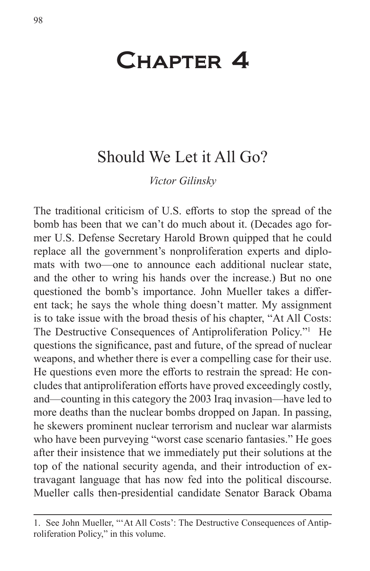# Chapter 4

## Should We Let it All Go?

*Victor Gilinsky*

The traditional criticism of U.S. efforts to stop the spread of the bomb has been that we can't do much about it. (Decades ago former U.S. Defense Secretary Harold Brown quipped that he could replace all the government's nonproliferation experts and diplomats with two—one to announce each additional nuclear state, and the other to wring his hands over the increase.) But no one questioned the bomb's importance. John Mueller takes a different tack; he says the whole thing doesn't matter. My assignment is to take issue with the broad thesis of his chapter, "At All Costs: The Destructive Consequences of Antiproliferation Policy."<sup>1</sup> He questions the significance, past and future, of the spread of nuclear weapons, and whether there is ever a compelling case for their use. He questions even more the efforts to restrain the spread: He concludes that antiproliferation efforts have proved exceedingly costly, and—counting in this category the 2003 Iraq invasion—have led to more deaths than the nuclear bombs dropped on Japan. In passing, he skewers prominent nuclear terrorism and nuclear war alarmists who have been purveying "worst case scenario fantasies." He goes after their insistence that we immediately put their solutions at the top of the national security agenda, and their introduction of extravagant language that has now fed into the political discourse. Mueller calls then-presidential candidate Senator Barack Obama

<sup>1.</sup> See John Mueller, "'At All Costs': The Destructive Consequences of Antiproliferation Policy," in this volume.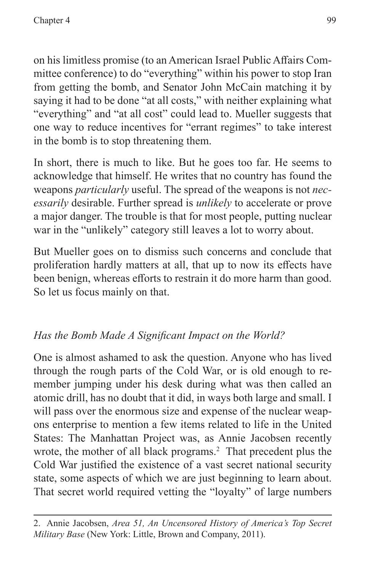on his limitless promise (to an American Israel Public Affairs Committee conference) to do "everything" within his power to stop Iran from getting the bomb, and Senator John McCain matching it by saying it had to be done "at all costs," with neither explaining what "everything" and "at all cost" could lead to. Mueller suggests that one way to reduce incentives for "errant regimes" to take interest in the bomb is to stop threatening them.

In short, there is much to like. But he goes too far. He seems to acknowledge that himself. He writes that no country has found the weapons *particularly* useful. The spread of the weapons is not *necessarily* desirable. Further spread is *unlikely* to accelerate or prove a major danger. The trouble is that for most people, putting nuclear war in the "unlikely" category still leaves a lot to worry about.

But Mueller goes on to dismiss such concerns and conclude that proliferation hardly matters at all, that up to now its effects have been benign, whereas efforts to restrain it do more harm than good. So let us focus mainly on that.

## *Has the Bomb Made A Significant Impact on the World?*

One is almost ashamed to ask the question. Anyone who has lived through the rough parts of the Cold War, or is old enough to remember jumping under his desk during what was then called an atomic drill, has no doubt that it did, in ways both large and small. I will pass over the enormous size and expense of the nuclear weapons enterprise to mention a few items related to life in the United States: The Manhattan Project was, as Annie Jacobsen recently wrote, the mother of all black programs.<sup>2</sup> That precedent plus the Cold War justified the existence of a vast secret national security state, some aspects of which we are just beginning to learn about. That secret world required vetting the "loyalty" of large numbers

<sup>2.</sup> Annie Jacobsen, *Area 51, An Uncensored History of America's Top Secret Military Base* (New York: Little, Brown and Company, 2011).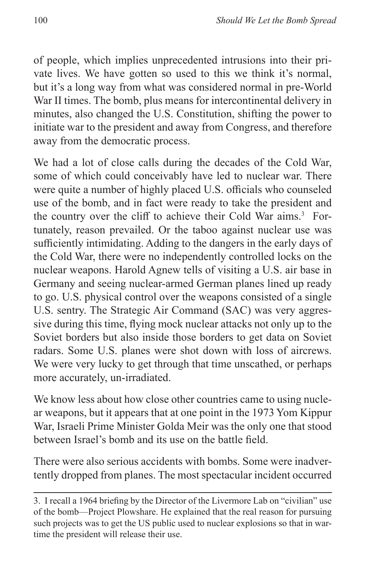of people, which implies unprecedented intrusions into their private lives. We have gotten so used to this we think it's normal, but it's a long way from what was considered normal in pre-World War II times. The bomb, plus means for intercontinental delivery in minutes, also changed the U.S. Constitution, shifting the power to initiate war to the president and away from Congress, and therefore away from the democratic process.

We had a lot of close calls during the decades of the Cold War, some of which could conceivably have led to nuclear war. There were quite a number of highly placed U.S. officials who counseled use of the bomb, and in fact were ready to take the president and the country over the cliff to achieve their Cold War aims.<sup>3</sup> Fortunately, reason prevailed. Or the taboo against nuclear use was sufficiently intimidating. Adding to the dangers in the early days of the Cold War, there were no independently controlled locks on the nuclear weapons. Harold Agnew tells of visiting a U.S. air base in Germany and seeing nuclear-armed German planes lined up ready to go. U.S. physical control over the weapons consisted of a single U.S. sentry. The Strategic Air Command (SAC) was very aggressive during this time, flying mock nuclear attacks not only up to the Soviet borders but also inside those borders to get data on Soviet radars. Some U.S. planes were shot down with loss of aircrews. We were very lucky to get through that time unscathed, or perhaps more accurately, un-irradiated.

We know less about how close other countries came to using nuclear weapons, but it appears that at one point in the 1973 Yom Kippur War, Israeli Prime Minister Golda Meir was the only one that stood between Israel's bomb and its use on the battle field.

There were also serious accidents with bombs. Some were inadvertently dropped from planes. The most spectacular incident occurred

<sup>3.</sup> I recall a 1964 briefing by the Director of the Livermore Lab on "civilian" use of the bomb—Project Plowshare. He explained that the real reason for pursuing such projects was to get the US public used to nuclear explosions so that in wartime the president will release their use.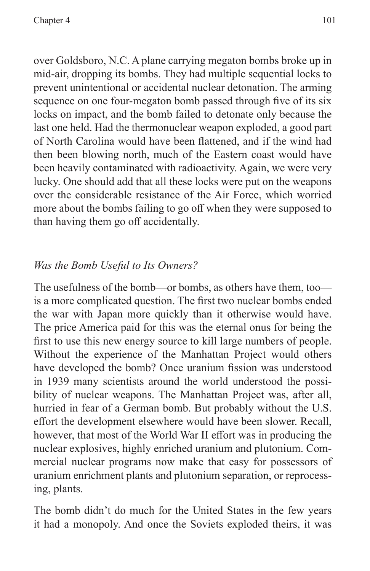over Goldsboro, N.C. A plane carrying megaton bombs broke up in mid-air, dropping its bombs. They had multiple sequential locks to prevent unintentional or accidental nuclear detonation. The arming sequence on one four-megaton bomb passed through five of its six locks on impact, and the bomb failed to detonate only because the last one held. Had the thermonuclear weapon exploded, a good part of North Carolina would have been flattened, and if the wind had then been blowing north, much of the Eastern coast would have been heavily contaminated with radioactivity. Again, we were very lucky. One should add that all these locks were put on the weapons over the considerable resistance of the Air Force, which worried more about the bombs failing to go off when they were supposed to than having them go off accidentally.

### *Was the Bomb Useful to Its Owners?*

The usefulness of the bomb—or bombs, as others have them, too is a more complicated question. The first two nuclear bombs ended the war with Japan more quickly than it otherwise would have. The price America paid for this was the eternal onus for being the first to use this new energy source to kill large numbers of people. Without the experience of the Manhattan Project would others have developed the bomb? Once uranium fission was understood in 1939 many scientists around the world understood the possibility of nuclear weapons. The Manhattan Project was, after all, hurried in fear of a German bomb. But probably without the U.S. effort the development elsewhere would have been slower. Recall, however, that most of the World War II effort was in producing the nuclear explosives, highly enriched uranium and plutonium. Commercial nuclear programs now make that easy for possessors of uranium enrichment plants and plutonium separation, or reprocessing, plants.

The bomb didn't do much for the United States in the few years it had a monopoly. And once the Soviets exploded theirs, it was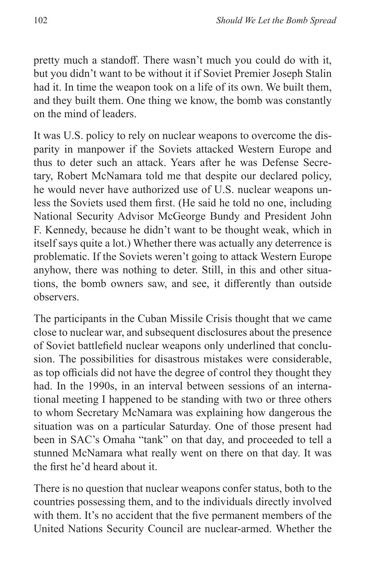pretty much a standoff. There wasn't much you could do with it, but you didn't want to be without it if Soviet Premier Joseph Stalin had it. In time the weapon took on a life of its own. We built them, and they built them. One thing we know, the bomb was constantly on the mind of leaders.

It was U.S. policy to rely on nuclear weapons to overcome the disparity in manpower if the Soviets attacked Western Europe and thus to deter such an attack. Years after he was Defense Secretary, Robert McNamara told me that despite our declared policy, he would never have authorized use of U.S. nuclear weapons unless the Soviets used them first. (He said he told no one, including National Security Advisor McGeorge Bundy and President John F. Kennedy, because he didn't want to be thought weak, which in itself says quite a lot.) Whether there was actually any deterrence is problematic. If the Soviets weren't going to attack Western Europe anyhow, there was nothing to deter. Still, in this and other situations, the bomb owners saw, and see, it differently than outside observers.

The participants in the Cuban Missile Crisis thought that we came close to nuclear war, and subsequent disclosures about the presence of Soviet battlefield nuclear weapons only underlined that conclusion. The possibilities for disastrous mistakes were considerable, as top officials did not have the degree of control they thought they had. In the 1990s, in an interval between sessions of an international meeting I happened to be standing with two or three others to whom Secretary McNamara was explaining how dangerous the situation was on a particular Saturday. One of those present had been in SAC's Omaha "tank" on that day, and proceeded to tell a stunned McNamara what really went on there on that day. It was the first he'd heard about it.

There is no question that nuclear weapons confer status, both to the countries possessing them, and to the individuals directly involved with them. It's no accident that the five permanent members of the United Nations Security Council are nuclear-armed. Whether the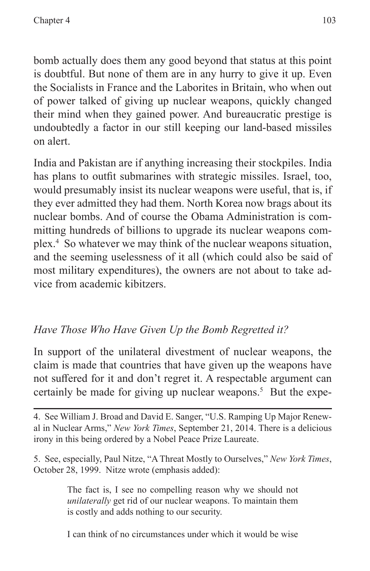bomb actually does them any good beyond that status at this point is doubtful. But none of them are in any hurry to give it up. Even the Socialists in France and the Laborites in Britain, who when out of power talked of giving up nuclear weapons, quickly changed their mind when they gained power. And bureaucratic prestige is undoubtedly a factor in our still keeping our land-based missiles on alert.

India and Pakistan are if anything increasing their stockpiles. India has plans to outfit submarines with strategic missiles. Israel, too, would presumably insist its nuclear weapons were useful, that is, if they ever admitted they had them. North Korea now brags about its nuclear bombs. And of course the Obama Administration is committing hundreds of billions to upgrade its nuclear weapons complex.4 So whatever we may think of the nuclear weapons situation, and the seeming uselessness of it all (which could also be said of most military expenditures), the owners are not about to take advice from academic kibitzers.

## *Have Those Who Have Given Up the Bomb Regretted it?*

In support of the unilateral divestment of nuclear weapons, the claim is made that countries that have given up the weapons have not suffered for it and don't regret it. A respectable argument can certainly be made for giving up nuclear weapons.<sup>5</sup> But the expe-

4. See William J. Broad and David E. Sanger, "U.S. Ramping Up Major Renewal in Nuclear Arms," *New York Times*, September 21, 2014. There is a delicious irony in this being ordered by a Nobel Peace Prize Laureate.

5. See, especially, Paul Nitze, "A Threat Mostly to Ourselves," *New York Times*, October 28, 1999. Nitze wrote (emphasis added):

> The fact is, I see no compelling reason why we should not *unilaterally* get rid of our nuclear weapons. To maintain them is costly and adds nothing to our security.

> I can think of no circumstances under which it would be wise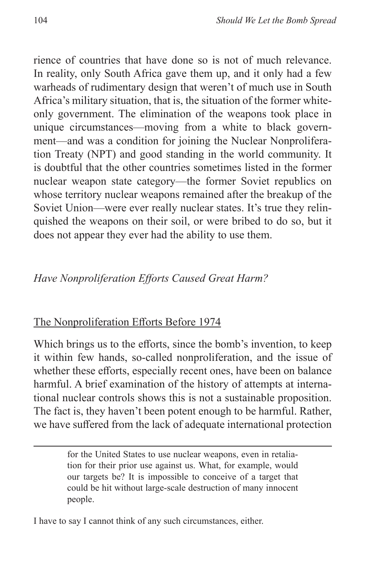rience of countries that have done so is not of much relevance. In reality, only South Africa gave them up, and it only had a few warheads of rudimentary design that weren't of much use in South Africa's military situation, that is, the situation of the former whiteonly government. The elimination of the weapons took place in unique circumstances—moving from a white to black government—and was a condition for joining the Nuclear Nonproliferation Treaty (NPT) and good standing in the world community. It is doubtful that the other countries sometimes listed in the former nuclear weapon state category—the former Soviet republics on whose territory nuclear weapons remained after the breakup of the Soviet Union—were ever really nuclear states. It's true they relinquished the weapons on their soil, or were bribed to do so, but it does not appear they ever had the ability to use them.

#### *Have Nonproliferation Efforts Caused Great Harm?*

#### The Nonproliferation Efforts Before 1974

Which brings us to the efforts, since the bomb's invention, to keep it within few hands, so-called nonproliferation, and the issue of whether these efforts, especially recent ones, have been on balance harmful. A brief examination of the history of attempts at international nuclear controls shows this is not a sustainable proposition. The fact is, they haven't been potent enough to be harmful. Rather, we have suffered from the lack of adequate international protection

> for the United States to use nuclear weapons, even in retaliation for their prior use against us. What, for example, would our targets be? It is impossible to conceive of a target that could be hit without large-scale destruction of many innocent people.

I have to say I cannot think of any such circumstances, either.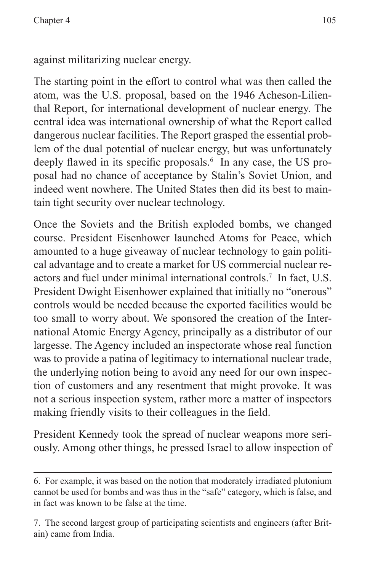against militarizing nuclear energy.

The starting point in the effort to control what was then called the atom, was the U.S. proposal, based on the 1946 Acheson-Lilienthal Report, for international development of nuclear energy. The central idea was international ownership of what the Report called dangerous nuclear facilities. The Report grasped the essential problem of the dual potential of nuclear energy, but was unfortunately deeply flawed in its specific proposals.<sup>6</sup> In any case, the US proposal had no chance of acceptance by Stalin's Soviet Union, and indeed went nowhere. The United States then did its best to maintain tight security over nuclear technology.

Once the Soviets and the British exploded bombs, we changed course. President Eisenhower launched Atoms for Peace, which amounted to a huge giveaway of nuclear technology to gain political advantage and to create a market for US commercial nuclear reactors and fuel under minimal international controls.7 In fact, U.S. President Dwight Eisenhower explained that initially no "onerous" controls would be needed because the exported facilities would be too small to worry about. We sponsored the creation of the International Atomic Energy Agency, principally as a distributor of our largesse. The Agency included an inspectorate whose real function was to provide a patina of legitimacy to international nuclear trade, the underlying notion being to avoid any need for our own inspection of customers and any resentment that might provoke. It was not a serious inspection system, rather more a matter of inspectors making friendly visits to their colleagues in the field.

President Kennedy took the spread of nuclear weapons more seriously. Among other things, he pressed Israel to allow inspection of

<sup>6.</sup> For example, it was based on the notion that moderately irradiated plutonium cannot be used for bombs and was thus in the "safe" category, which is false, and in fact was known to be false at the time.

<sup>7.</sup> The second largest group of participating scientists and engineers (after Britain) came from India.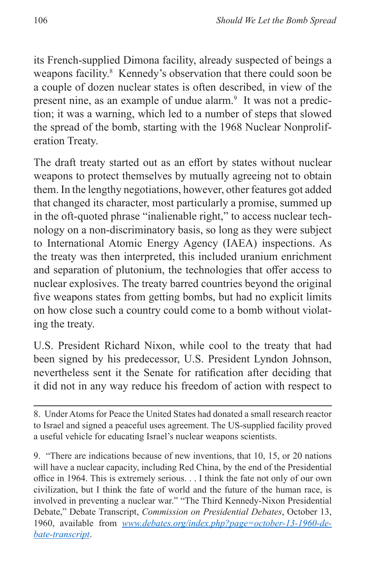its French-supplied Dimona facility, already suspected of beings a weapons facility.<sup>8</sup> Kennedy's observation that there could soon be a couple of dozen nuclear states is often described, in view of the present nine, as an example of undue alarm.<sup>9</sup> It was not a prediction; it was a warning, which led to a number of steps that slowed the spread of the bomb, starting with the 1968 Nuclear Nonproliferation Treaty.

The draft treaty started out as an effort by states without nuclear weapons to protect themselves by mutually agreeing not to obtain them. In the lengthy negotiations, however, other features got added that changed its character, most particularly a promise, summed up in the oft-quoted phrase "inalienable right," to access nuclear technology on a non-discriminatory basis, so long as they were subject to International Atomic Energy Agency (IAEA) inspections. As the treaty was then interpreted, this included uranium enrichment and separation of plutonium, the technologies that offer access to nuclear explosives. The treaty barred countries beyond the original five weapons states from getting bombs, but had no explicit limits on how close such a country could come to a bomb without violating the treaty.

U.S. President Richard Nixon, while cool to the treaty that had been signed by his predecessor, U.S. President Lyndon Johnson, nevertheless sent it the Senate for ratification after deciding that it did not in any way reduce his freedom of action with respect to

9. "There are indications because of new inventions, that 10, 15, or 20 nations will have a nuclear capacity, including Red China, by the end of the Presidential office in 1964. This is extremely serious. . . I think the fate not only of our own civilization, but I think the fate of world and the future of the human race, is involved in preventing a nuclear war." "The Third Kennedy-Nixon Presidential Debate," Debate Transcript, *Commission on Presidential Debates*, October 13, 1960, available from *[www.debates.org/index.php?page=october-13-1960-de](www.debates.org/index.php?page=october-13-1960-debate-transcript)[bate-transcript](www.debates.org/index.php?page=october-13-1960-debate-transcript)*.

<sup>8.</sup> Under Atoms for Peace the United States had donated a small research reactor to Israel and signed a peaceful uses agreement. The US-supplied facility proved a useful vehicle for educating Israel's nuclear weapons scientists.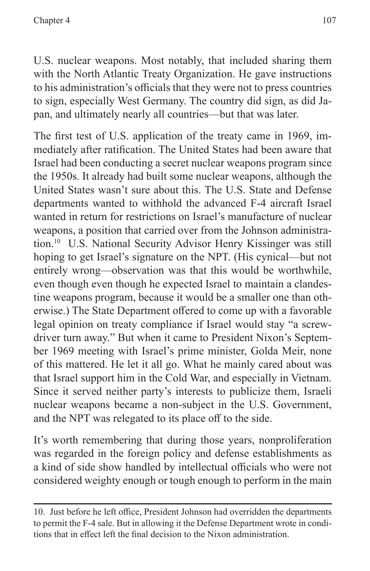U.S. nuclear weapons. Most notably, that included sharing them with the North Atlantic Treaty Organization. He gave instructions to his administration's officials that they were not to press countries to sign, especially West Germany. The country did sign, as did Japan, and ultimately nearly all countries—but that was later.

The first test of U.S. application of the treaty came in 1969, immediately after ratification. The United States had been aware that Israel had been conducting a secret nuclear weapons program since the 1950s. It already had built some nuclear weapons, although the United States wasn't sure about this. The U.S. State and Defense departments wanted to withhold the advanced F-4 aircraft Israel wanted in return for restrictions on Israel's manufacture of nuclear weapons, a position that carried over from the Johnson administration.10 U.S. National Security Advisor Henry Kissinger was still hoping to get Israel's signature on the NPT. (His cynical—but not entirely wrong—observation was that this would be worthwhile, even though even though he expected Israel to maintain a clandestine weapons program, because it would be a smaller one than otherwise.) The State Department offered to come up with a favorable legal opinion on treaty compliance if Israel would stay "a screwdriver turn away." But when it came to President Nixon's September 1969 meeting with Israel's prime minister, Golda Meir, none of this mattered. He let it all go. What he mainly cared about was that Israel support him in the Cold War, and especially in Vietnam. Since it served neither party's interests to publicize them, Israeli nuclear weapons became a non-subject in the U.S. Government, and the NPT was relegated to its place off to the side.

It's worth remembering that during those years, nonproliferation was regarded in the foreign policy and defense establishments as a kind of side show handled by intellectual officials who were not considered weighty enough or tough enough to perform in the main

<sup>10.</sup> Just before he left office, President Johnson had overridden the departments to permit the F-4 sale. But in allowing it the Defense Department wrote in conditions that in effect left the final decision to the Nixon administration.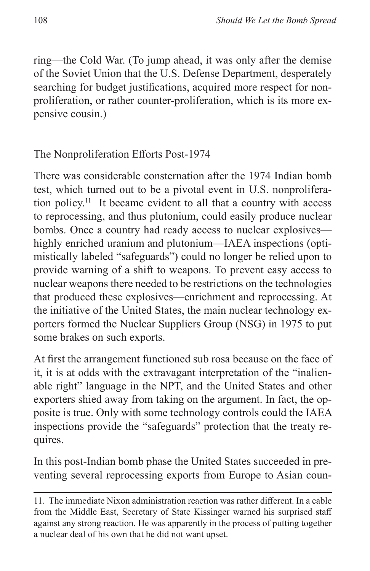ring—the Cold War. (To jump ahead, it was only after the demise of the Soviet Union that the U.S. Defense Department, desperately searching for budget justifications, acquired more respect for nonproliferation, or rather counter-proliferation, which is its more expensive cousin.)

## The Nonproliferation Efforts Post-1974

There was considerable consternation after the 1974 Indian bomb test, which turned out to be a pivotal event in U.S. nonproliferation policy.11 It became evident to all that a country with access to reprocessing, and thus plutonium, could easily produce nuclear bombs. Once a country had ready access to nuclear explosives highly enriched uranium and plutonium—IAEA inspections (optimistically labeled "safeguards") could no longer be relied upon to provide warning of a shift to weapons. To prevent easy access to nuclear weapons there needed to be restrictions on the technologies that produced these explosives—enrichment and reprocessing. At the initiative of the United States, the main nuclear technology exporters formed the Nuclear Suppliers Group (NSG) in 1975 to put some brakes on such exports.

At first the arrangement functioned sub rosa because on the face of it, it is at odds with the extravagant interpretation of the "inalienable right" language in the NPT, and the United States and other exporters shied away from taking on the argument. In fact, the opposite is true. Only with some technology controls could the IAEA inspections provide the "safeguards" protection that the treaty requires.

In this post-Indian bomb phase the United States succeeded in preventing several reprocessing exports from Europe to Asian coun-

<sup>11.</sup> The immediate Nixon administration reaction was rather different. In a cable from the Middle East, Secretary of State Kissinger warned his surprised staff against any strong reaction. He was apparently in the process of putting together a nuclear deal of his own that he did not want upset.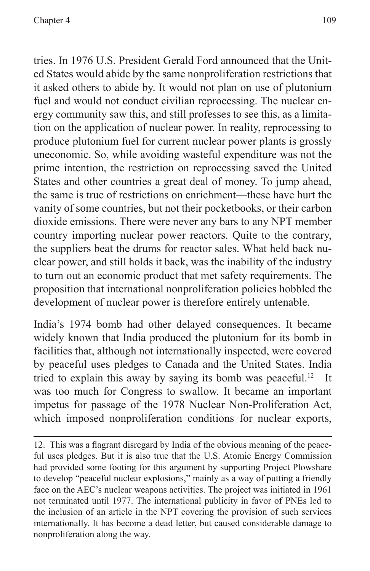tries. In 1976 U.S. President Gerald Ford announced that the United States would abide by the same nonproliferation restrictions that it asked others to abide by. It would not plan on use of plutonium fuel and would not conduct civilian reprocessing. The nuclear energy community saw this, and still professes to see this, as a limitation on the application of nuclear power. In reality, reprocessing to produce plutonium fuel for current nuclear power plants is grossly uneconomic. So, while avoiding wasteful expenditure was not the prime intention, the restriction on reprocessing saved the United States and other countries a great deal of money. To jump ahead, the same is true of restrictions on enrichment—these have hurt the vanity of some countries, but not their pocketbooks, or their carbon dioxide emissions. There were never any bars to any NPT member country importing nuclear power reactors. Quite to the contrary, the suppliers beat the drums for reactor sales. What held back nuclear power, and still holds it back, was the inability of the industry to turn out an economic product that met safety requirements. The proposition that international nonproliferation policies hobbled the development of nuclear power is therefore entirely untenable.

India's 1974 bomb had other delayed consequences. It became widely known that India produced the plutonium for its bomb in facilities that, although not internationally inspected, were covered by peaceful uses pledges to Canada and the United States. India tried to explain this away by saying its bomb was peaceful.<sup>12</sup> It was too much for Congress to swallow. It became an important impetus for passage of the 1978 Nuclear Non-Proliferation Act, which imposed nonproliferation conditions for nuclear exports,

12. This was a flagrant disregard by India of the obvious meaning of the peaceful uses pledges. But it is also true that the U.S. Atomic Energy Commission had provided some footing for this argument by supporting Project Plowshare to develop "peaceful nuclear explosions," mainly as a way of putting a friendly face on the AEC's nuclear weapons activities. The project was initiated in 1961 not terminated until 1977. The international publicity in favor of PNEs led to the inclusion of an article in the NPT covering the provision of such services internationally. It has become a dead letter, but caused considerable damage to nonproliferation along the way.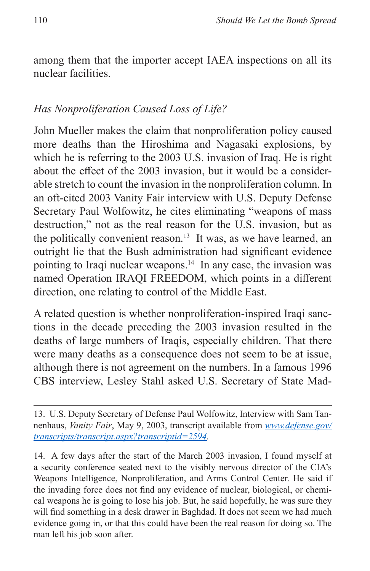among them that the importer accept IAEA inspections on all its nuclear facilities.

#### *Has Nonproliferation Caused Loss of Life?*

John Mueller makes the claim that nonproliferation policy caused more deaths than the Hiroshima and Nagasaki explosions, by which he is referring to the 2003 U.S. invasion of Iraq. He is right about the effect of the 2003 invasion, but it would be a considerable stretch to count the invasion in the nonproliferation column. In an oft-cited 2003 Vanity Fair interview with U.S. Deputy Defense Secretary Paul Wolfowitz, he cites eliminating "weapons of mass destruction," not as the real reason for the U.S. invasion, but as the politically convenient reason.<sup>13</sup> It was, as we have learned, an outright lie that the Bush administration had significant evidence pointing to Iraqi nuclear weapons.14 In any case, the invasion was named Operation IRAQI FREEDOM, which points in a different direction, one relating to control of the Middle East.

A related question is whether nonproliferation-inspired Iraqi sanctions in the decade preceding the 2003 invasion resulted in the deaths of large numbers of Iraqis, especially children. That there were many deaths as a consequence does not seem to be at issue, although there is not agreement on the numbers. In a famous 1996 CBS interview, Lesley Stahl asked U.S. Secretary of State Mad-

14. A few days after the start of the March 2003 invasion, I found myself at a security conference seated next to the visibly nervous director of the CIA's Weapons Intelligence, Nonproliferation, and Arms Control Center. He said if the invading force does not find any evidence of nuclear, biological, or chemical weapons he is going to lose his job. But, he said hopefully, he was sure they will find something in a desk drawer in Baghdad. It does not seem we had much evidence going in, or that this could have been the real reason for doing so. The man left his job soon after.

<sup>13.</sup> U.S. Deputy Secretary of Defense Paul Wolfowitz, Interview with Sam Tannenhaus, *Vanity Fair*, May 9, 2003, transcript available from *[www.defense.gov/](www.defense.gov/transcripts/transcript.aspx?transcriptid=2594) [transcripts/transcript.aspx?transcriptid=2594](www.defense.gov/transcripts/transcript.aspx?transcriptid=2594).*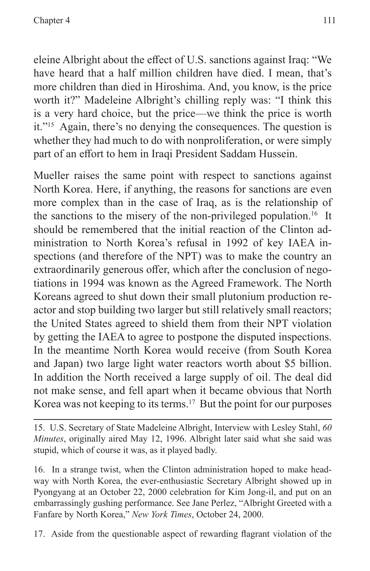eleine Albright about the effect of U.S. sanctions against Iraq: "We have heard that a half million children have died. I mean, that's more children than died in Hiroshima. And, you know, is the price worth it?" Madeleine Albright's chilling reply was: "I think this is a very hard choice, but the price—we think the price is worth it."15 Again, there's no denying the consequences. The question is whether they had much to do with nonproliferation, or were simply part of an effort to hem in Iraqi President Saddam Hussein.

Mueller raises the same point with respect to sanctions against North Korea. Here, if anything, the reasons for sanctions are even more complex than in the case of Iraq, as is the relationship of the sanctions to the misery of the non-privileged population.<sup>16</sup> It should be remembered that the initial reaction of the Clinton administration to North Korea's refusal in 1992 of key IAEA inspections (and therefore of the NPT) was to make the country an extraordinarily generous offer, which after the conclusion of negotiations in 1994 was known as the Agreed Framework. The North Koreans agreed to shut down their small plutonium production reactor and stop building two larger but still relatively small reactors; the United States agreed to shield them from their NPT violation by getting the IAEA to agree to postpone the disputed inspections. In the meantime North Korea would receive (from South Korea and Japan) two large light water reactors worth about \$5 billion. In addition the North received a large supply of oil. The deal did not make sense, and fell apart when it became obvious that North Korea was not keeping to its terms.<sup>17</sup> But the point for our purposes

15. U.S. Secretary of State Madeleine Albright, Interview with Lesley Stahl, *60 Minutes*, originally aired May 12, 1996. Albright later said what she said was stupid, which of course it was, as it played badly.

16. In a strange twist, when the Clinton administration hoped to make headway with North Korea, the ever-enthusiastic Secretary Albright showed up in Pyongyang at an October 22, 2000 celebration for Kim Jong-il, and put on an embarrassingly gushing performance. See Jane Perlez, "Albright Greeted with a Fanfare by North Korea," *New York Times*, October 24, 2000.

17. Aside from the questionable aspect of rewarding flagrant violation of the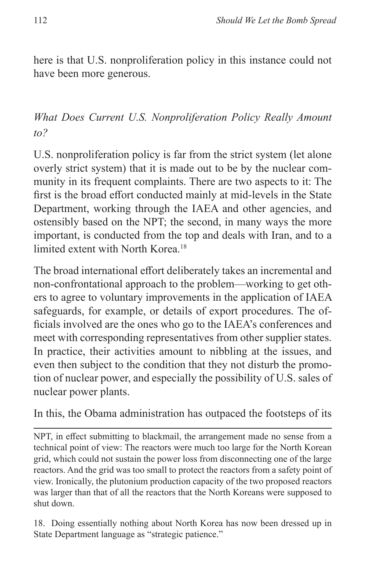here is that U.S. nonproliferation policy in this instance could not have been more generous.

*What Does Current U.S. Nonproliferation Policy Really Amount to?*

U.S. nonproliferation policy is far from the strict system (let alone overly strict system) that it is made out to be by the nuclear community in its frequent complaints. There are two aspects to it: The first is the broad effort conducted mainly at mid-levels in the State Department, working through the IAEA and other agencies, and ostensibly based on the NPT; the second, in many ways the more important, is conducted from the top and deals with Iran, and to a limited extent with North Korea.<sup>18</sup>

The broad international effort deliberately takes an incremental and non-confrontational approach to the problem—working to get others to agree to voluntary improvements in the application of IAEA safeguards, for example, or details of export procedures. The officials involved are the ones who go to the IAEA's conferences and meet with corresponding representatives from other supplier states. In practice, their activities amount to nibbling at the issues, and even then subject to the condition that they not disturb the promotion of nuclear power, and especially the possibility of U.S. sales of nuclear power plants.

In this, the Obama administration has outpaced the footsteps of its

NPT, in effect submitting to blackmail, the arrangement made no sense from a technical point of view: The reactors were much too large for the North Korean grid, which could not sustain the power loss from disconnecting one of the large reactors. And the grid was too small to protect the reactors from a safety point of view. Ironically, the plutonium production capacity of the two proposed reactors was larger than that of all the reactors that the North Koreans were supposed to shut down.

18. Doing essentially nothing about North Korea has now been dressed up in State Department language as "strategic patience."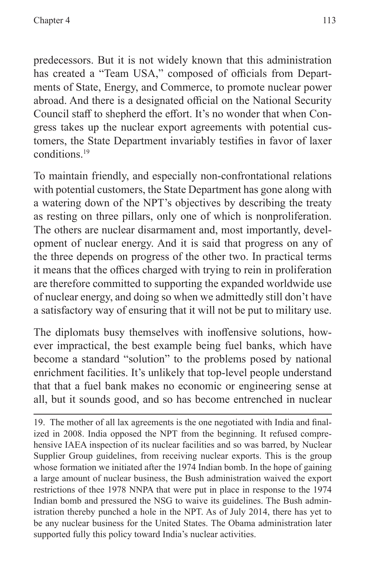predecessors. But it is not widely known that this administration has created a "Team USA," composed of officials from Departments of State, Energy, and Commerce, to promote nuclear power abroad. And there is a designated official on the National Security Council staff to shepherd the effort. It's no wonder that when Congress takes up the nuclear export agreements with potential customers, the State Department invariably testifies in favor of laxer conditions.19

To maintain friendly, and especially non-confrontational relations with potential customers, the State Department has gone along with a watering down of the NPT's objectives by describing the treaty as resting on three pillars, only one of which is nonproliferation. The others are nuclear disarmament and, most importantly, development of nuclear energy. And it is said that progress on any of the three depends on progress of the other two. In practical terms it means that the offices charged with trying to rein in proliferation are therefore committed to supporting the expanded worldwide use of nuclear energy, and doing so when we admittedly still don't have a satisfactory way of ensuring that it will not be put to military use.

The diplomats busy themselves with inoffensive solutions, however impractical, the best example being fuel banks, which have become a standard "solution" to the problems posed by national enrichment facilities. It's unlikely that top-level people understand that that a fuel bank makes no economic or engineering sense at all, but it sounds good, and so has become entrenched in nuclear

19. The mother of all lax agreements is the one negotiated with India and finalized in 2008. India opposed the NPT from the beginning. It refused comprehensive IAEA inspection of its nuclear facilities and so was barred, by Nuclear Supplier Group guidelines, from receiving nuclear exports. This is the group whose formation we initiated after the 1974 Indian bomb. In the hope of gaining a large amount of nuclear business, the Bush administration waived the export restrictions of thee 1978 NNPA that were put in place in response to the 1974 Indian bomb and pressured the NSG to waive its guidelines. The Bush administration thereby punched a hole in the NPT. As of July 2014, there has yet to be any nuclear business for the United States. The Obama administration later supported fully this policy toward India's nuclear activities.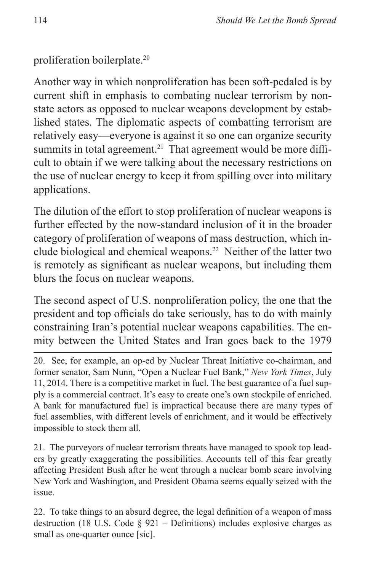proliferation boilerplate.20

Another way in which nonproliferation has been soft-pedaled is by current shift in emphasis to combating nuclear terrorism by nonstate actors as opposed to nuclear weapons development by established states. The diplomatic aspects of combatting terrorism are relatively easy—everyone is against it so one can organize security summits in total agreement.<sup>21</sup> That agreement would be more difficult to obtain if we were talking about the necessary restrictions on the use of nuclear energy to keep it from spilling over into military applications.

The dilution of the effort to stop proliferation of nuclear weapons is further effected by the now-standard inclusion of it in the broader category of proliferation of weapons of mass destruction, which include biological and chemical weapons.22 Neither of the latter two is remotely as significant as nuclear weapons, but including them blurs the focus on nuclear weapons.

The second aspect of U.S. nonproliferation policy, the one that the president and top officials do take seriously, has to do with mainly constraining Iran's potential nuclear weapons capabilities. The enmity between the United States and Iran goes back to the 1979

20. See, for example, an op-ed by Nuclear Threat Initiative co-chairman, and former senator, Sam Nunn, "Open a Nuclear Fuel Bank," *New York Times*, July 11, 2014. There is a competitive market in fuel. The best guarantee of a fuel supply is a commercial contract. It's easy to create one's own stockpile of enriched. A bank for manufactured fuel is impractical because there are many types of fuel assemblies, with different levels of enrichment, and it would be effectively impossible to stock them all.

21. The purveyors of nuclear terrorism threats have managed to spook top leaders by greatly exaggerating the possibilities. Accounts tell of this fear greatly affecting President Bush after he went through a nuclear bomb scare involving New York and Washington, and President Obama seems equally seized with the issue.

22. To take things to an absurd degree, the legal definition of a weapon of mass destruction (18 U.S. Code  $\S$  921 – Definitions) includes explosive charges as small as one-quarter ounce [sic].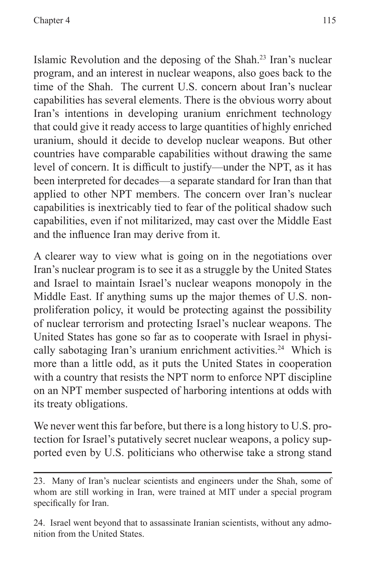Islamic Revolution and the deposing of the Shah.23 Iran's nuclear program, and an interest in nuclear weapons, also goes back to the time of the Shah. The current U.S. concern about Iran's nuclear capabilities has several elements. There is the obvious worry about Iran's intentions in developing uranium enrichment technology that could give it ready access to large quantities of highly enriched uranium, should it decide to develop nuclear weapons. But other countries have comparable capabilities without drawing the same level of concern. It is difficult to justify—under the NPT, as it has been interpreted for decades—a separate standard for Iran than that applied to other NPT members. The concern over Iran's nuclear capabilities is inextricably tied to fear of the political shadow such capabilities, even if not militarized, may cast over the Middle East and the influence Iran may derive from it.

A clearer way to view what is going on in the negotiations over Iran's nuclear program is to see it as a struggle by the United States and Israel to maintain Israel's nuclear weapons monopoly in the Middle East. If anything sums up the major themes of U.S. nonproliferation policy, it would be protecting against the possibility of nuclear terrorism and protecting Israel's nuclear weapons. The United States has gone so far as to cooperate with Israel in physically sabotaging Iran's uranium enrichment activities.<sup>24</sup> Which is more than a little odd, as it puts the United States in cooperation with a country that resists the NPT norm to enforce NPT discipline on an NPT member suspected of harboring intentions at odds with its treaty obligations.

We never went this far before, but there is a long history to U.S. protection for Israel's putatively secret nuclear weapons, a policy supported even by U.S. politicians who otherwise take a strong stand

<sup>23.</sup> Many of Iran's nuclear scientists and engineers under the Shah, some of whom are still working in Iran, were trained at MIT under a special program specifically for Iran.

<sup>24.</sup> Israel went beyond that to assassinate Iranian scientists, without any admonition from the United States.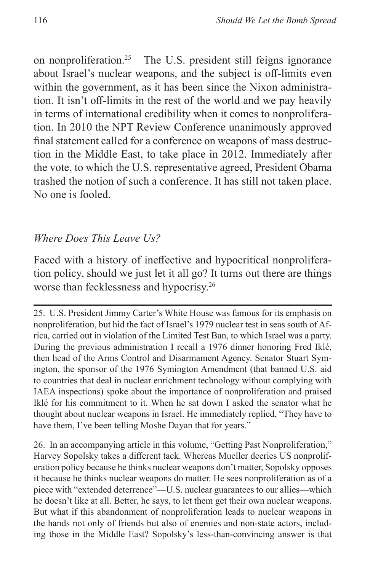on nonproliferation.25 The U.S. president still feigns ignorance about Israel's nuclear weapons, and the subject is off-limits even within the government, as it has been since the Nixon administration. It isn't off-limits in the rest of the world and we pay heavily in terms of international credibility when it comes to nonproliferation. In 2010 the NPT Review Conference unanimously approved final statement called for a conference on weapons of mass destruction in the Middle East, to take place in 2012. Immediately after the vote, to which the U.S. representative agreed, President Obama trashed the notion of such a conference. It has still not taken place. No one is fooled.

#### *Where Does This Leave Us?*

Faced with a history of ineffective and hypocritical nonproliferation policy, should we just let it all go? It turns out there are things worse than fecklessness and hypocrisy.26

25. U.S. President Jimmy Carter's White House was famous for its emphasis on nonproliferation, but hid the fact of Israel's 1979 nuclear test in seas south of Africa, carried out in violation of the Limited Test Ban, to which Israel was a party. During the previous administration I recall a 1976 dinner honoring Fred Iklé, then head of the Arms Control and Disarmament Agency. Senator Stuart Symington, the sponsor of the 1976 Symington Amendment (that banned U.S. aid to countries that deal in nuclear enrichment technology without complying with IAEA inspections) spoke about the importance of nonproliferation and praised Iklé for his commitment to it. When he sat down I asked the senator what he thought about nuclear weapons in Israel. He immediately replied, "They have to have them, I've been telling Moshe Dayan that for years."

26. In an accompanying article in this volume, "Getting Past Nonproliferation," Harvey Sopolsky takes a different tack. Whereas Mueller decries US nonproliferation policy because he thinks nuclear weapons don't matter, Sopolsky opposes it because he thinks nuclear weapons do matter. He sees nonproliferation as of a piece with "extended deterrence"—U.S. nuclear guarantees to our allies—which he doesn't like at all. Better, he says, to let them get their own nuclear weapons. But what if this abandonment of nonproliferation leads to nuclear weapons in the hands not only of friends but also of enemies and non-state actors, including those in the Middle East? Sopolsky's less-than-convincing answer is that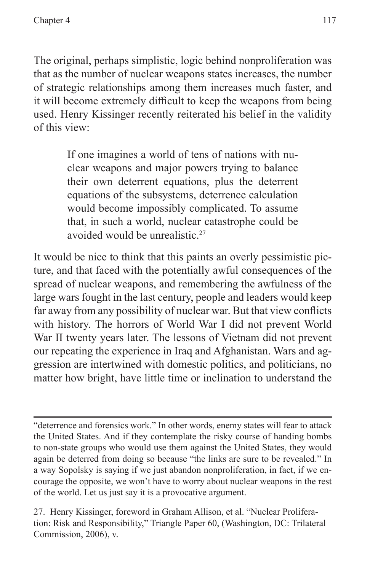The original, perhaps simplistic, logic behind nonproliferation was that as the number of nuclear weapons states increases, the number of strategic relationships among them increases much faster, and it will become extremely difficult to keep the weapons from being used. Henry Kissinger recently reiterated his belief in the validity of this view:

> If one imagines a world of tens of nations with nuclear weapons and major powers trying to balance their own deterrent equations, plus the deterrent equations of the subsystems, deterrence calculation would become impossibly complicated. To assume that, in such a world, nuclear catastrophe could be avoided would be unrealistic.<sup>27</sup>

It would be nice to think that this paints an overly pessimistic picture, and that faced with the potentially awful consequences of the spread of nuclear weapons, and remembering the awfulness of the large wars fought in the last century, people and leaders would keep far away from any possibility of nuclear war. But that view conflicts with history. The horrors of World War I did not prevent World War II twenty years later. The lessons of Vietnam did not prevent our repeating the experience in Iraq and Afghanistan. Wars and aggression are intertwined with domestic politics, and politicians, no matter how bright, have little time or inclination to understand the

<sup>&</sup>quot;deterrence and forensics work." In other words, enemy states will fear to attack the United States. And if they contemplate the risky course of handing bombs to non-state groups who would use them against the United States, they would again be deterred from doing so because "the links are sure to be revealed." In a way Sopolsky is saying if we just abandon nonproliferation, in fact, if we encourage the opposite, we won't have to worry about nuclear weapons in the rest of the world. Let us just say it is a provocative argument.

<sup>27.</sup> Henry Kissinger, foreword in Graham Allison, et al. "Nuclear Proliferation: Risk and Responsibility," Triangle Paper 60, (Washington, DC: Trilateral Commission, 2006), v.